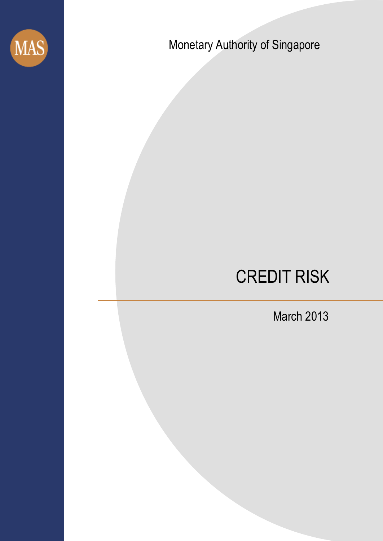

Monetary Authority of Singapore

Monetary Authority of Singapore

Monetary Authority of Singapore

Monetary Authority of Singapore

# CREDIT RISK

March 2013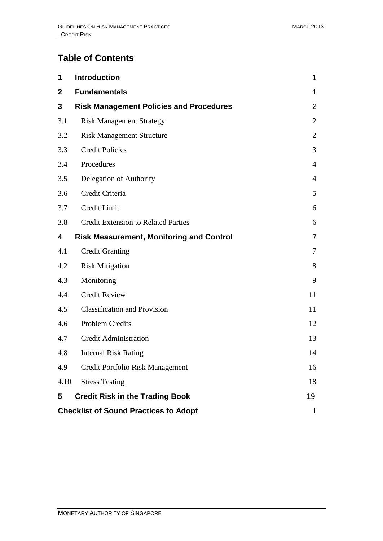# **Table of Contents**

| 1            | <b>Introduction</b>                             | 1              |
|--------------|-------------------------------------------------|----------------|
| $\mathbf{2}$ | <b>Fundamentals</b>                             | 1              |
| 3            | <b>Risk Management Policies and Procedures</b>  | $\overline{2}$ |
| 3.1          | <b>Risk Management Strategy</b>                 | $\overline{2}$ |
| 3.2          | <b>Risk Management Structure</b>                | $\overline{2}$ |
| 3.3          | <b>Credit Policies</b>                          | 3              |
| 3.4          | Procedures                                      | $\overline{4}$ |
| 3.5          | Delegation of Authority                         | 4              |
| 3.6          | Credit Criteria                                 | 5              |
| 3.7          | Credit Limit                                    | 6              |
| 3.8          | <b>Credit Extension to Related Parties</b>      | 6              |
| 4            | <b>Risk Measurement, Monitoring and Control</b> | $\overline{7}$ |
| 4.1          | <b>Credit Granting</b>                          | 7              |
| 4.2          | <b>Risk Mitigation</b>                          | 8              |
| 4.3          | Monitoring                                      | 9              |
| 4.4          | <b>Credit Review</b>                            | 11             |
| 4.5          | <b>Classification and Provision</b>             | 11             |
| 4.6          | <b>Problem Credits</b>                          | 12             |
| 4.7          | <b>Credit Administration</b>                    | 13             |
| 4.8          | <b>Internal Risk Rating</b>                     | 14             |
| 4.9          | Credit Portfolio Risk Management                | 16             |
| 4.10         | <b>Stress Testing</b>                           | 18             |
| 5            | <b>Credit Risk in the Trading Book</b>          | 19             |
|              | <b>Checklist of Sound Practices to Adopt</b>    |                |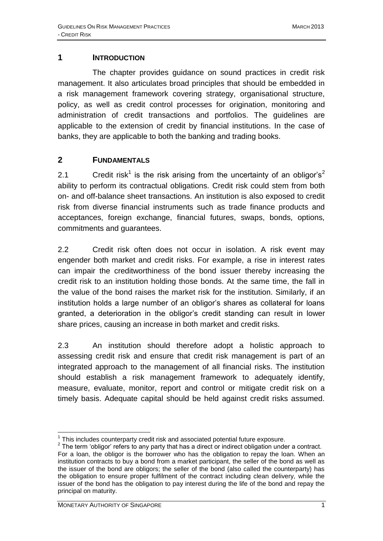#### <span id="page-2-0"></span>**1 INTRODUCTION**

The chapter provides guidance on sound practices in credit risk management. It also articulates broad principles that should be embedded in a risk management framework covering strategy, organisational structure, policy, as well as credit control processes for origination, monitoring and administration of credit transactions and portfolios. The guidelines are applicable to the extension of credit by financial institutions. In the case of banks, they are applicable to both the banking and trading books.

# <span id="page-2-1"></span>**2 FUNDAMENTALS**

2.1 Credit risk<sup>1</sup> is the risk arising from the uncertainty of an obligor's<sup>2</sup> ability to perform its contractual obligations. Credit risk could stem from both on- and off-balance sheet transactions. An institution is also exposed to credit risk from diverse financial instruments such as trade finance products and acceptances, foreign exchange, financial futures, swaps, bonds, options, commitments and guarantees.

2.2 Credit risk often does not occur in isolation. A risk event may engender both market and credit risks. For example, a rise in interest rates can impair the creditworthiness of the bond issuer thereby increasing the credit risk to an institution holding those bonds. At the same time, the fall in the value of the bond raises the market risk for the institution. Similarly, if an institution holds a large number of an obligor's shares as collateral for loans granted, a deterioration in the obligor's credit standing can result in lower share prices, causing an increase in both market and credit risks.

2.3 An institution should therefore adopt a holistic approach to assessing credit risk and ensure that credit risk management is part of an integrated approach to the management of all financial risks. The institution should establish a risk management framework to adequately identify, measure, evaluate, monitor, report and control or mitigate credit risk on a timely basis. Adequate capital should be held against credit risks assumed.

<sup>1</sup>  $1$  This includes counterparty credit risk and associated potential future exposure.

 $2$  The term 'obligor' refers to any party that has a direct or indirect obligation under a contract. For a loan, the obligor is the borrower who has the obligation to repay the loan. When an institution contracts to buy a bond from a market participant, the seller of the bond as well as the issuer of the bond are obligors; the seller of the bond (also called the counterparty) has the obligation to ensure proper fulfilment of the contract including clean delivery, while the issuer of the bond has the obligation to pay interest during the life of the bond and repay the principal on maturity.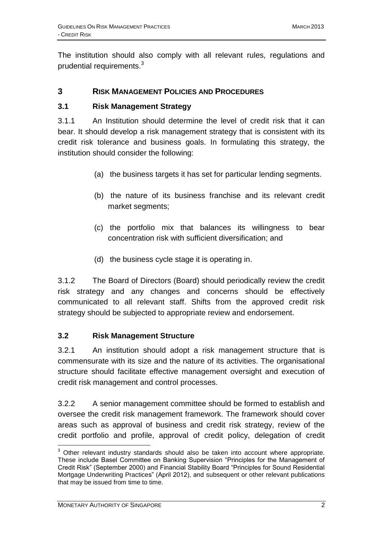The institution should also comply with all relevant rules, regulations and prudential requirements.<sup>3</sup>

#### <span id="page-3-0"></span>**3 RISK MANAGEMENT POLICIES AND PROCEDURES**

#### <span id="page-3-1"></span>**3.1 Risk Management Strategy**

3.1.1 An Institution should determine the level of credit risk that it can bear. It should develop a risk management strategy that is consistent with its credit risk tolerance and business goals. In formulating this strategy, the institution should consider the following:

- (a) the business targets it has set for particular lending segments.
- (b) the nature of its business franchise and its relevant credit market segments;
- (c) the portfolio mix that balances its willingness to bear concentration risk with sufficient diversification; and
- (d) the business cycle stage it is operating in.

3.1.2 The Board of Directors (Board) should periodically review the credit risk strategy and any changes and concerns should be effectively communicated to all relevant staff. Shifts from the approved credit risk strategy should be subjected to appropriate review and endorsement.

#### <span id="page-3-2"></span>**3.2 Risk Management Structure**

3.2.1 An institution should adopt a risk management structure that is commensurate with its size and the nature of its activities. The organisational structure should facilitate effective management oversight and execution of credit risk management and control processes.

3.2.2 A senior management committee should be formed to establish and oversee the credit risk management framework. The framework should cover areas such as approval of business and credit risk strategy, review of the credit portfolio and profile, approval of credit policy, delegation of credit

<sup>1</sup>  $3$  Other relevant industry standards should also be taken into account where appropriate. These include Basel Committee on Banking Supervision "Principles for the Management of Credit Risk" (September 2000) and Financial Stability Board "Principles for Sound Residential Mortgage Underwriting Practices" (April 2012), and subsequent or other relevant publications that may be issued from time to time.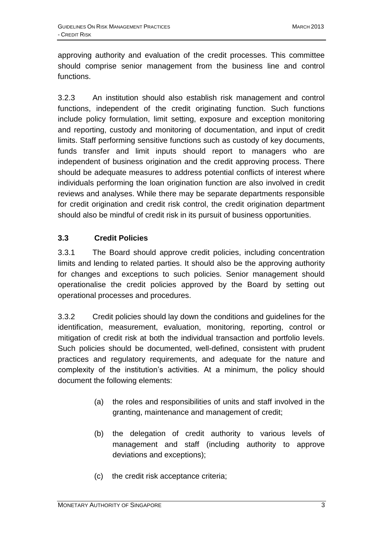approving authority and evaluation of the credit processes. This committee should comprise senior management from the business line and control functions.

3.2.3 An institution should also establish risk management and control functions, independent of the credit originating function. Such functions include policy formulation, limit setting, exposure and exception monitoring and reporting, custody and monitoring of documentation, and input of credit limits. Staff performing sensitive functions such as custody of key documents, funds transfer and limit inputs should report to managers who are independent of business origination and the credit approving process. There should be adequate measures to address potential conflicts of interest where individuals performing the loan origination function are also involved in credit reviews and analyses. While there may be separate departments responsible for credit origination and credit risk control, the credit origination department should also be mindful of credit risk in its pursuit of business opportunities.

# <span id="page-4-0"></span>**3.3 Credit Policies**

3.3.1 The Board should approve credit policies, including concentration limits and lending to related parties. It should also be the approving authority for changes and exceptions to such policies. Senior management should operationalise the credit policies approved by the Board by setting out operational processes and procedures.

3.3.2 Credit policies should lay down the conditions and guidelines for the identification, measurement, evaluation, monitoring, reporting, control or mitigation of credit risk at both the individual transaction and portfolio levels. Such policies should be documented, well-defined, consistent with prudent practices and regulatory requirements, and adequate for the nature and complexity of the institution's activities. At a minimum, the policy should document the following elements:

- (a) the roles and responsibilities of units and staff involved in the granting, maintenance and management of credit;
- (b) the delegation of credit authority to various levels of management and staff (including authority to approve deviations and exceptions);
- (c) the credit risk acceptance criteria;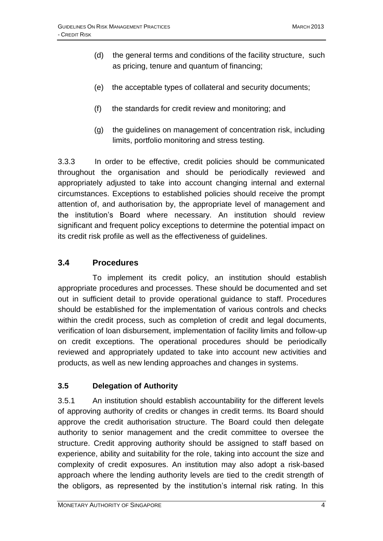- (d) the general terms and conditions of the facility structure, such as pricing, tenure and quantum of financing;
- (e) the acceptable types of collateral and security documents;
- (f) the standards for credit review and monitoring; and
- (g) the guidelines on management of concentration risk, including limits, portfolio monitoring and stress testing.

3.3.3 In order to be effective, credit policies should be communicated throughout the organisation and should be periodically reviewed and appropriately adjusted to take into account changing internal and external circumstances. Exceptions to established policies should receive the prompt attention of, and authorisation by, the appropriate level of management and the institution's Board where necessary. An institution should review significant and frequent policy exceptions to determine the potential impact on its credit risk profile as well as the effectiveness of guidelines.

# **3.4 Procedures**

To implement its credit policy, an institution should establish appropriate procedures and processes. These should be documented and set out in sufficient detail to provide operational guidance to staff. Procedures should be established for the implementation of various controls and checks within the credit process, such as completion of credit and legal documents, verification of loan disbursement, implementation of facility limits and follow-up on credit exceptions. The operational procedures should be periodically reviewed and appropriately updated to take into account new activities and products, as well as new lending approaches and changes in systems.

# <span id="page-5-0"></span>**3.5 Delegation of Authority**

3.5.1 An institution should establish accountability for the different levels of approving authority of credits or changes in credit terms. Its Board should approve the credit authorisation structure. The Board could then delegate authority to senior management and the credit committee to oversee the structure. Credit approving authority should be assigned to staff based on experience, ability and suitability for the role, taking into account the size and complexity of credit exposures. An institution may also adopt a risk-based approach where the lending authority levels are tied to the credit strength of the obligors, as represented by the institution's internal risk rating. In this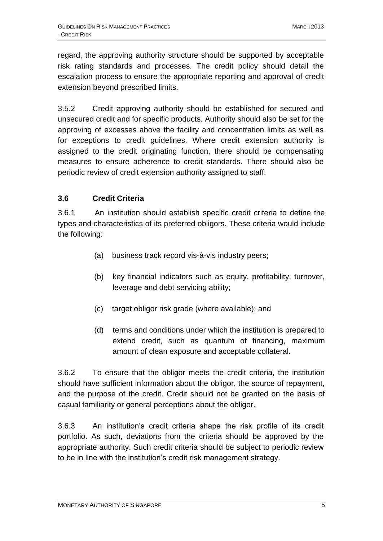regard, the approving authority structure should be supported by acceptable risk rating standards and processes. The credit policy should detail the escalation process to ensure the appropriate reporting and approval of credit extension beyond prescribed limits.

3.5.2 Credit approving authority should be established for secured and unsecured credit and for specific products. Authority should also be set for the approving of excesses above the facility and concentration limits as well as for exceptions to credit guidelines. Where credit extension authority is assigned to the credit originating function, there should be compensating measures to ensure adherence to credit standards. There should also be periodic review of credit extension authority assigned to staff.

#### <span id="page-6-0"></span>**3.6 Credit Criteria**

3.6.1 An institution should establish specific credit criteria to define the types and characteristics of its preferred obligors. These criteria would include the following:

- (a) business track record vis-à-vis industry peers;
- (b) key financial indicators such as equity, profitability, turnover, leverage and debt servicing ability;
- (c) target obligor risk grade (where available); and
- (d) terms and conditions under which the institution is prepared to extend credit, such as quantum of financing, maximum amount of clean exposure and acceptable collateral.

3.6.2 To ensure that the obligor meets the credit criteria, the institution should have sufficient information about the obligor, the source of repayment, and the purpose of the credit. Credit should not be granted on the basis of casual familiarity or general perceptions about the obligor.

3.6.3 An institution's credit criteria shape the risk profile of its credit portfolio. As such, deviations from the criteria should be approved by the appropriate authority. Such credit criteria should be subject to periodic review to be in line with the institution's credit risk management strategy.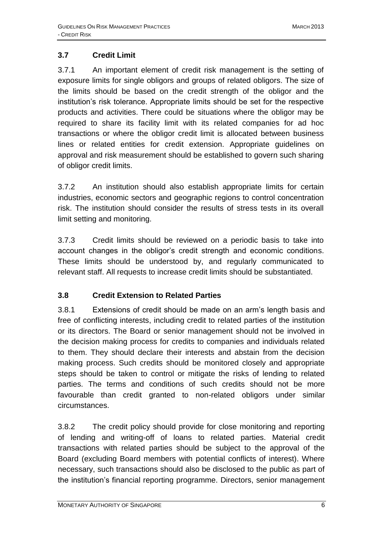# <span id="page-7-0"></span>**3.7 Credit Limit**

3.7.1 An important element of credit risk management is the setting of exposure limits for single obligors and groups of related obligors. The size of the limits should be based on the credit strength of the obligor and the institution's risk tolerance. Appropriate limits should be set for the respective products and activities. There could be situations where the obligor may be required to share its facility limit with its related companies for ad hoc transactions or where the obligor credit limit is allocated between business lines or related entities for credit extension. Appropriate guidelines on approval and risk measurement should be established to govern such sharing of obligor credit limits.

3.7.2 An institution should also establish appropriate limits for certain industries, economic sectors and geographic regions to control concentration risk. The institution should consider the results of stress tests in its overall limit setting and monitoring.

3.7.3 Credit limits should be reviewed on a periodic basis to take into account changes in the obligor's credit strength and economic conditions. These limits should be understood by, and regularly communicated to relevant staff. All requests to increase credit limits should be substantiated.

# <span id="page-7-1"></span>**3.8 Credit Extension to Related Parties**

3.8.1 Extensions of credit should be made on an arm's length basis and free of conflicting interests, including credit to related parties of the institution or its directors. The Board or senior management should not be involved in the decision making process for credits to companies and individuals related to them. They should declare their interests and abstain from the decision making process. Such credits should be monitored closely and appropriate steps should be taken to control or mitigate the risks of lending to related parties. The terms and conditions of such credits should not be more favourable than credit granted to non-related obligors under similar circumstances.

3.8.2 The credit policy should provide for close monitoring and reporting of lending and writing-off of loans to related parties. Material credit transactions with related parties should be subject to the approval of the Board (excluding Board members with potential conflicts of interest). Where necessary, such transactions should also be disclosed to the public as part of the institution's financial reporting programme. Directors, senior management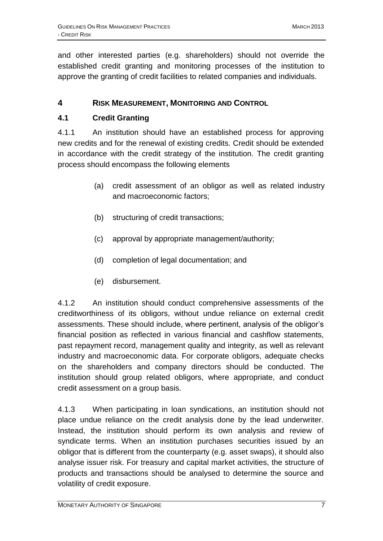and other interested parties (e.g. shareholders) should not override the established credit granting and monitoring processes of the institution to approve the granting of credit facilities to related companies and individuals.

# <span id="page-8-0"></span>**4 RISK MEASUREMENT, MONITORING AND CONTROL**

# <span id="page-8-1"></span>**4.1 Credit Granting**

4.1.1 An institution should have an established process for approving new credits and for the renewal of existing credits. Credit should be extended in accordance with the credit strategy of the institution. The credit granting process should encompass the following elements

- (a) credit assessment of an obligor as well as related industry and macroeconomic factors;
- (b) structuring of credit transactions;
- (c) approval by appropriate management/authority;
- (d) completion of legal documentation; and
- (e) disbursement.

4.1.2 An institution should conduct comprehensive assessments of the creditworthiness of its obligors, without undue reliance on external credit assessments. These should include, where pertinent, analysis of the obligor's financial position as reflected in various financial and cashflow statements, past repayment record, management quality and integrity, as well as relevant industry and macroeconomic data. For corporate obligors, adequate checks on the shareholders and company directors should be conducted. The institution should group related obligors, where appropriate, and conduct credit assessment on a group basis.

4.1.3 When participating in loan syndications, an institution should not place undue reliance on the credit analysis done by the lead underwriter. Instead, the institution should perform its own analysis and review of syndicate terms. When an institution purchases securities issued by an obligor that is different from the counterparty (e.g. asset swaps), it should also analyse issuer risk. For treasury and capital market activities, the structure of products and transactions should be analysed to determine the source and volatility of credit exposure.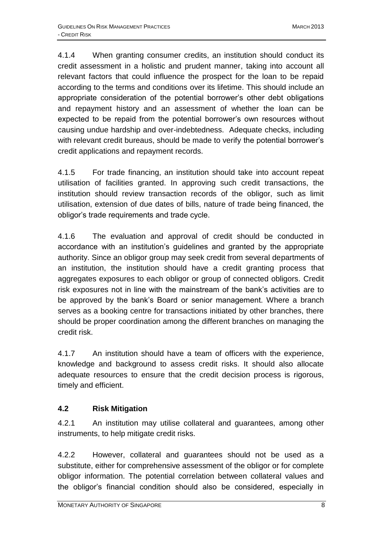4.1.4 When granting consumer credits, an institution should conduct its credit assessment in a holistic and prudent manner, taking into account all relevant factors that could influence the prospect for the loan to be repaid according to the terms and conditions over its lifetime. This should include an appropriate consideration of the potential borrower's other debt obligations and repayment history and an assessment of whether the loan can be expected to be repaid from the potential borrower's own resources without causing undue hardship and over-indebtedness. Adequate checks, including with relevant credit bureaus, should be made to verify the potential borrower's credit applications and repayment records.

4.1.5 For trade financing, an institution should take into account repeat utilisation of facilities granted. In approving such credit transactions, the institution should review transaction records of the obligor, such as limit utilisation, extension of due dates of bills, nature of trade being financed, the obligor's trade requirements and trade cycle.

4.1.6 The evaluation and approval of credit should be conducted in accordance with an institution's guidelines and granted by the appropriate authority. Since an obligor group may seek credit from several departments of an institution, the institution should have a credit granting process that aggregates exposures to each obligor or group of connected obligors. Credit risk exposures not in line with the mainstream of the bank's activities are to be approved by the bank's Board or senior management. Where a branch serves as a booking centre for transactions initiated by other branches, there should be proper coordination among the different branches on managing the credit risk.

4.1.7 An institution should have a team of officers with the experience, knowledge and background to assess credit risks. It should also allocate adequate resources to ensure that the credit decision process is rigorous, timely and efficient.

# <span id="page-9-0"></span>**4.2 Risk Mitigation**

4.2.1 An institution may utilise collateral and guarantees, among other instruments, to help mitigate credit risks.

4.2.2 However, collateral and guarantees should not be used as a substitute, either for comprehensive assessment of the obligor or for complete obligor information. The potential correlation between collateral values and the obligor's financial condition should also be considered, especially in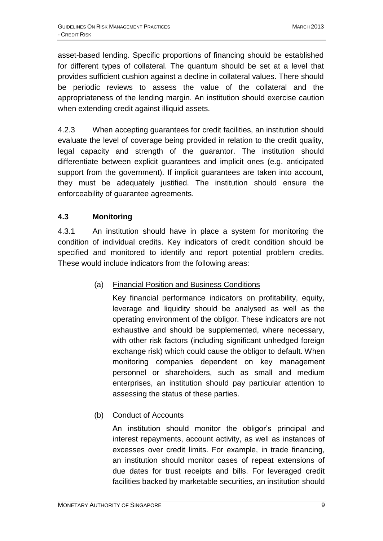asset-based lending. Specific proportions of financing should be established for different types of collateral. The quantum should be set at a level that provides sufficient cushion against a decline in collateral values. There should be periodic reviews to assess the value of the collateral and the appropriateness of the lending margin. An institution should exercise caution when extending credit against illiquid assets.

4.2.3 When accepting guarantees for credit facilities, an institution should evaluate the level of coverage being provided in relation to the credit quality, legal capacity and strength of the guarantor. The institution should differentiate between explicit guarantees and implicit ones (e.g. anticipated support from the government). If implicit guarantees are taken into account, they must be adequately justified. The institution should ensure the enforceability of guarantee agreements.

# <span id="page-10-0"></span>**4.3 Monitoring**

4.3.1 An institution should have in place a system for monitoring the condition of individual credits. Key indicators of credit condition should be specified and monitored to identify and report potential problem credits. These would include indicators from the following areas:

#### (a) Financial Position and Business Conditions

Key financial performance indicators on profitability, equity, leverage and liquidity should be analysed as well as the operating environment of the obligor. These indicators are not exhaustive and should be supplemented, where necessary, with other risk factors (including significant unhedged foreign exchange risk) which could cause the obligor to default. When monitoring companies dependent on key management personnel or shareholders, such as small and medium enterprises, an institution should pay particular attention to assessing the status of these parties.

# (b) Conduct of Accounts

An institution should monitor the obligor's principal and interest repayments, account activity, as well as instances of excesses over credit limits. For example, in trade financing, an institution should monitor cases of repeat extensions of due dates for trust receipts and bills. For leveraged credit facilities backed by marketable securities, an institution should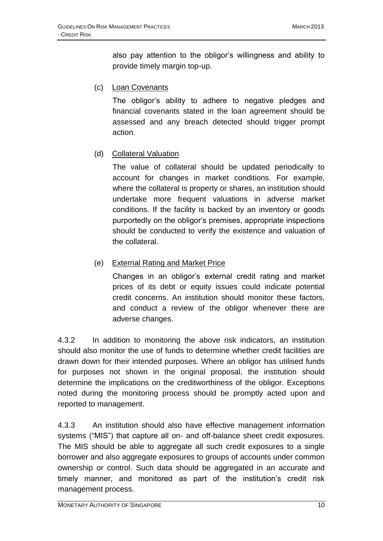also pay attention to the obligor's willingness and ability to provide timely margin top-up.

(c) Loan Covenants

The obligor's ability to adhere to negative pledges and financial covenants stated in the loan agreement should be assessed and any breach detected should trigger prompt action.

#### (d) Collateral Valuation

The value of collateral should be updated periodically to account for changes in market conditions. For example, where the collateral is property or shares, an institution should undertake more frequent valuations in adverse market conditions. If the facility is backed by an inventory or goods purportedly on the obligor's premises, appropriate inspections should be conducted to verify the existence and valuation of the collateral.

#### (e) External Rating and Market Price

Changes in an obligor's external credit rating and market prices of its debt or equity issues could indicate potential credit concerns. An institution should monitor these factors, and conduct a review of the obligor whenever there are adverse changes.

4.3.2 In addition to monitoring the above risk indicators, an institution should also monitor the use of funds to determine whether credit facilities are drawn down for their intended purposes. Where an obligor has utilised funds for purposes not shown in the original proposal, the institution should determine the implications on the creditworthiness of the obligor. Exceptions noted during the monitoring process should be promptly acted upon and reported to management.

4.3.3 An institution should also have effective management information systems ("MIS") that capture all on- and off-balance sheet credit exposures. The MIS should be able to aggregate all such credit exposures to a single borrower and also aggregate exposures to groups of accounts under common ownership or control. Such data should be aggregated in an accurate and timely manner, and monitored as part of the institution's credit risk management process.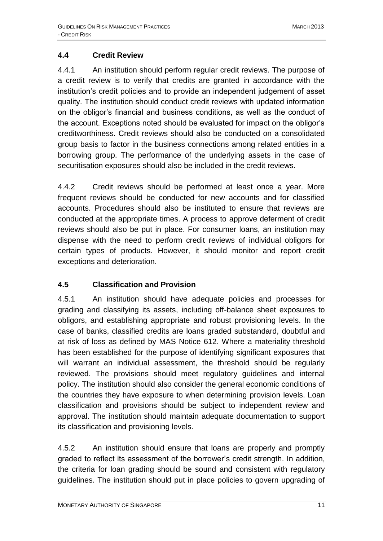# <span id="page-12-0"></span>**4.4 Credit Review**

4.4.1 An institution should perform regular credit reviews. The purpose of a credit review is to verify that credits are granted in accordance with the institution's credit policies and to provide an independent judgement of asset quality. The institution should conduct credit reviews with updated information on the obligor's financial and business conditions, as well as the conduct of the account. Exceptions noted should be evaluated for impact on the obligor's creditworthiness. Credit reviews should also be conducted on a consolidated group basis to factor in the business connections among related entities in a borrowing group. The performance of the underlying assets in the case of securitisation exposures should also be included in the credit reviews.

4.4.2 Credit reviews should be performed at least once a year. More frequent reviews should be conducted for new accounts and for classified accounts. Procedures should also be instituted to ensure that reviews are conducted at the appropriate times. A process to approve deferment of credit reviews should also be put in place. For consumer loans, an institution may dispense with the need to perform credit reviews of individual obligors for certain types of products. However, it should monitor and report credit exceptions and deterioration.

# <span id="page-12-1"></span>**4.5 Classification and Provision**

4.5.1 An institution should have adequate policies and processes for grading and classifying its assets, including off-balance sheet exposures to obligors, and establishing appropriate and robust provisioning levels. In the case of banks, classified credits are loans graded substandard, doubtful and at risk of loss as defined by MAS Notice 612. Where a materiality threshold has been established for the purpose of identifying significant exposures that will warrant an individual assessment, the threshold should be regularly reviewed. The provisions should meet regulatory guidelines and internal policy. The institution should also consider the general economic conditions of the countries they have exposure to when determining provision levels. Loan classification and provisions should be subject to independent review and approval. The institution should maintain adequate documentation to support its classification and provisioning levels.

4.5.2 An institution should ensure that loans are properly and promptly graded to reflect its assessment of the borrower's credit strength. In addition, the criteria for loan grading should be sound and consistent with regulatory guidelines. The institution should put in place policies to govern upgrading of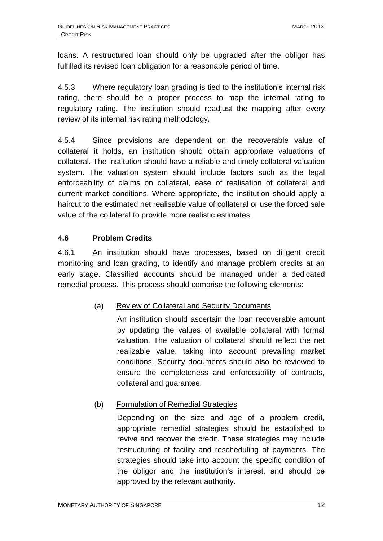loans. A restructured loan should only be upgraded after the obligor has fulfilled its revised loan obligation for a reasonable period of time.

4.5.3 Where regulatory loan grading is tied to the institution's internal risk rating, there should be a proper process to map the internal rating to regulatory rating. The institution should readjust the mapping after every review of its internal risk rating methodology.

4.5.4 Since provisions are dependent on the recoverable value of collateral it holds, an institution should obtain appropriate valuations of collateral. The institution should have a reliable and timely collateral valuation system. The valuation system should include factors such as the legal enforceability of claims on collateral, ease of realisation of collateral and current market conditions. Where appropriate, the institution should apply a haircut to the estimated net realisable value of collateral or use the forced sale value of the collateral to provide more realistic estimates.

#### <span id="page-13-0"></span>**4.6 Problem Credits**

4.6.1 An institution should have processes, based on diligent credit monitoring and loan grading, to identify and manage problem credits at an early stage. Classified accounts should be managed under a dedicated remedial process. This process should comprise the following elements:

# (a) Review of Collateral and Security Documents

An institution should ascertain the loan recoverable amount by updating the values of available collateral with formal valuation. The valuation of collateral should reflect the net realizable value, taking into account prevailing market conditions. Security documents should also be reviewed to ensure the completeness and enforceability of contracts, collateral and guarantee.

# (b) Formulation of Remedial Strategies

Depending on the size and age of a problem credit, appropriate remedial strategies should be established to revive and recover the credit. These strategies may include restructuring of facility and rescheduling of payments. The strategies should take into account the specific condition of the obligor and the institution's interest, and should be approved by the relevant authority.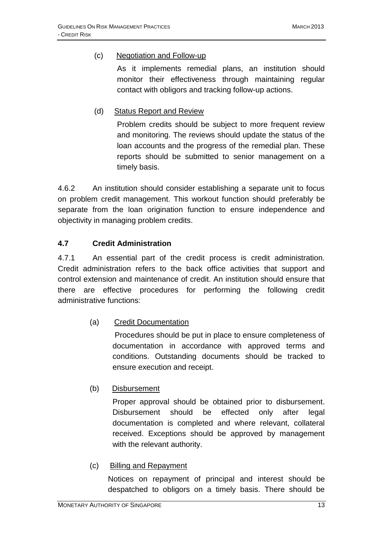#### (c) Negotiation and Follow-up

As it implements remedial plans, an institution should monitor their effectiveness through maintaining regular contact with obligors and tracking follow-up actions.

#### (d) Status Report and Review

Problem credits should be subject to more frequent review and monitoring. The reviews should update the status of the loan accounts and the progress of the remedial plan. These reports should be submitted to senior management on a timely basis.

4.6.2 An institution should consider establishing a separate unit to focus on problem credit management. This workout function should preferably be separate from the loan origination function to ensure independence and objectivity in managing problem credits.

#### <span id="page-14-0"></span>**4.7 Credit Administration**

4.7.1 An essential part of the credit process is credit administration. Credit administration refers to the back office activities that support and control extension and maintenance of credit. An institution should ensure that there are effective procedures for performing the following credit administrative functions:

#### (a) Credit Documentation

Procedures should be put in place to ensure completeness of documentation in accordance with approved terms and conditions. Outstanding documents should be tracked to ensure execution and receipt.

#### (b) Disbursement

Proper approval should be obtained prior to disbursement. Disbursement should be effected only after legal documentation is completed and where relevant, collateral received. Exceptions should be approved by management with the relevant authority.

#### (c) Billing and Repayment

Notices on repayment of principal and interest should be despatched to obligors on a timely basis. There should be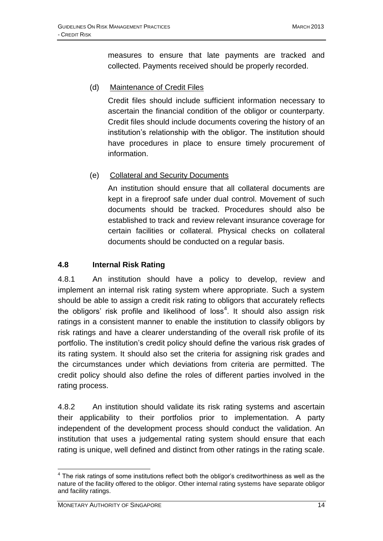measures to ensure that late payments are tracked and collected. Payments received should be properly recorded.

(d) Maintenance of Credit Files

Credit files should include sufficient information necessary to ascertain the financial condition of the obligor or counterparty. Credit files should include documents covering the history of an institution's relationship with the obligor. The institution should have procedures in place to ensure timely procurement of information.

#### (e) Collateral and Security Documents

An institution should ensure that all collateral documents are kept in a fireproof safe under dual control. Movement of such documents should be tracked. Procedures should also be established to track and review relevant insurance coverage for certain facilities or collateral. Physical checks on collateral documents should be conducted on a regular basis.

#### <span id="page-15-0"></span>**4.8 Internal Risk Rating**

4.8.1 An institution should have a policy to develop, review and implement an internal risk rating system where appropriate. Such a system should be able to assign a credit risk rating to obligors that accurately reflects the obligors' risk profile and likelihood of loss<sup>4</sup>. It should also assign risk ratings in a consistent manner to enable the institution to classify obligors by risk ratings and have a clearer understanding of the overall risk profile of its portfolio. The institution's credit policy should define the various risk grades of its rating system. It should also set the criteria for assigning risk grades and the circumstances under which deviations from criteria are permitted. The credit policy should also define the roles of different parties involved in the rating process.

4.8.2 An institution should validate its risk rating systems and ascertain their applicability to their portfolios prior to implementation. A party independent of the development process should conduct the validation. An institution that uses a judgemental rating system should ensure that each rating is unique, well defined and distinct from other ratings in the rating scale.

<sup>&</sup>lt;u>.</u>  $4$  The risk ratings of some institutions reflect both the obligor's creditworthiness as well as the nature of the facility offered to the obligor. Other internal rating systems have separate obligor and facility ratings.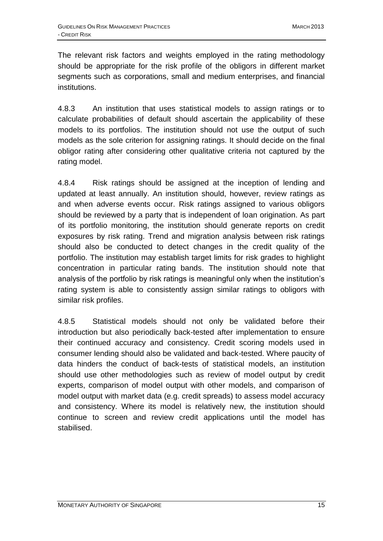The relevant risk factors and weights employed in the rating methodology should be appropriate for the risk profile of the obligors in different market segments such as corporations, small and medium enterprises, and financial institutions.

4.8.3 An institution that uses statistical models to assign ratings or to calculate probabilities of default should ascertain the applicability of these models to its portfolios. The institution should not use the output of such models as the sole criterion for assigning ratings. It should decide on the final obligor rating after considering other qualitative criteria not captured by the rating model.

4.8.4 Risk ratings should be assigned at the inception of lending and updated at least annually. An institution should, however, review ratings as and when adverse events occur. Risk ratings assigned to various obligors should be reviewed by a party that is independent of loan origination. As part of its portfolio monitoring, the institution should generate reports on credit exposures by risk rating. Trend and migration analysis between risk ratings should also be conducted to detect changes in the credit quality of the portfolio. The institution may establish target limits for risk grades to highlight concentration in particular rating bands. The institution should note that analysis of the portfolio by risk ratings is meaningful only when the institution's rating system is able to consistently assign similar ratings to obligors with similar risk profiles.

4.8.5 Statistical models should not only be validated before their introduction but also periodically back-tested after implementation to ensure their continued accuracy and consistency. Credit scoring models used in consumer lending should also be validated and back-tested. Where paucity of data hinders the conduct of back-tests of statistical models, an institution should use other methodologies such as review of model output by credit experts, comparison of model output with other models, and comparison of model output with market data (e.g. credit spreads) to assess model accuracy and consistency. Where its model is relatively new, the institution should continue to screen and review credit applications until the model has stabilised.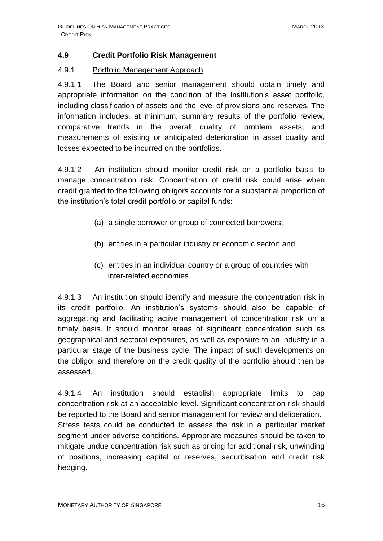#### <span id="page-17-0"></span>**4.9 Credit Portfolio Risk Management**

#### 4.9.1 Portfolio Management Approach

4.9.1.1 The Board and senior management should obtain timely and appropriate information on the condition of the institution's asset portfolio, including classification of assets and the level of provisions and reserves. The information includes, at minimum, summary results of the portfolio review, comparative trends in the overall quality of problem assets, and measurements of existing or anticipated deterioration in asset quality and losses expected to be incurred on the portfolios.

4.9.1.2 An institution should monitor credit risk on a portfolio basis to manage concentration risk. Concentration of credit risk could arise when credit granted to the following obligors accounts for a substantial proportion of the institution's total credit portfolio or capital funds:

- (a) a single borrower or group of connected borrowers;
- (b) entities in a particular industry or economic sector; and
- (c) entities in an individual country or a group of countries with inter-related economies

4.9.1.3 An institution should identify and measure the concentration risk in its credit portfolio. An institution's systems should also be capable of aggregating and facilitating active management of concentration risk on a timely basis. It should monitor areas of significant concentration such as geographical and sectoral exposures, as well as exposure to an industry in a particular stage of the business cycle. The impact of such developments on the obligor and therefore on the credit quality of the portfolio should then be assessed.

4.9.1.4 An institution should establish appropriate limits to cap concentration risk at an acceptable level. Significant concentration risk should be reported to the Board and senior management for review and deliberation. Stress tests could be conducted to assess the risk in a particular market segment under adverse conditions. Appropriate measures should be taken to mitigate undue concentration risk such as pricing for additional risk, unwinding of positions, increasing capital or reserves, securitisation and credit risk hedging.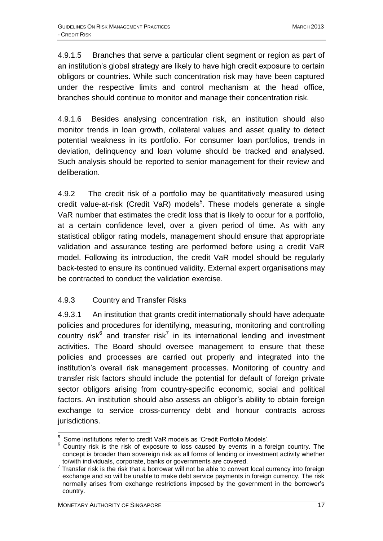4.9.1.5 Branches that serve a particular client segment or region as part of an institution's global strategy are likely to have high credit exposure to certain obligors or countries. While such concentration risk may have been captured under the respective limits and control mechanism at the head office, branches should continue to monitor and manage their concentration risk.

4.9.1.6 Besides analysing concentration risk, an institution should also monitor trends in loan growth, collateral values and asset quality to detect potential weakness in its portfolio. For consumer loan portfolios, trends in deviation, delinquency and loan volume should be tracked and analysed. Such analysis should be reported to senior management for their review and deliberation.

4.9.2 The credit risk of a portfolio may be quantitatively measured using credit value-at-risk (Credit VaR) models<sup>5</sup>. These models generate a single VaR number that estimates the credit loss that is likely to occur for a portfolio, at a certain confidence level, over a given period of time. As with any statistical obligor rating models, management should ensure that appropriate validation and assurance testing are performed before using a credit VaR model. Following its introduction, the credit VaR model should be regularly back-tested to ensure its continued validity. External expert organisations may be contracted to conduct the validation exercise.

#### 4.9.3 Country and Transfer Risks

4.9.3.1 An institution that grants credit internationally should have adequate policies and procedures for identifying, measuring, monitoring and controlling country risk $6$  and transfer risk<sup>7</sup> in its international lending and investment activities. The Board should oversee management to ensure that these policies and processes are carried out properly and integrated into the institution's overall risk management processes. Monitoring of country and transfer risk factors should include the potential for default of foreign private sector obligors arising from country-specific economic, social and political factors. An institution should also assess an obligor's ability to obtain foreign exchange to service cross-currency debt and honour contracts across jurisdictions.

 5 Some institutions refer to credit VaR models as 'Credit Portfolio Models'.

 $6$  Country risk is the risk of exposure to loss caused by events in a foreign country. The concept is broader than sovereign risk as all forms of lending or investment activity whether

to/with individuals, corporate, banks or governments are covered.<br><sup>7</sup> Transfer risk is the risk that a borrower will not be able to convert local currency into foreign exchange and so will be unable to make debt service payments in foreign currency. The risk normally arises from exchange restrictions imposed by the government in the borrower's country.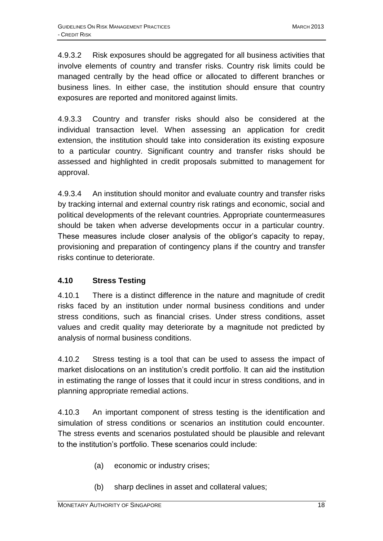4.9.3.2 Risk exposures should be aggregated for all business activities that involve elements of country and transfer risks. Country risk limits could be managed centrally by the head office or allocated to different branches or business lines. In either case, the institution should ensure that country exposures are reported and monitored against limits.

4.9.3.3 Country and transfer risks should also be considered at the individual transaction level. When assessing an application for credit extension, the institution should take into consideration its existing exposure to a particular country. Significant country and transfer risks should be assessed and highlighted in credit proposals submitted to management for approval.

4.9.3.4 An institution should monitor and evaluate country and transfer risks by tracking internal and external country risk ratings and economic, social and political developments of the relevant countries. Appropriate countermeasures should be taken when adverse developments occur in a particular country. These measures include closer analysis of the obligor's capacity to repay, provisioning and preparation of contingency plans if the country and transfer risks continue to deteriorate.

#### <span id="page-19-0"></span>**4.10 Stress Testing**

4.10.1 There is a distinct difference in the nature and magnitude of credit risks faced by an institution under normal business conditions and under stress conditions, such as financial crises. Under stress conditions, asset values and credit quality may deteriorate by a magnitude not predicted by analysis of normal business conditions.

4.10.2 Stress testing is a tool that can be used to assess the impact of market dislocations on an institution's credit portfolio. It can aid the institution in estimating the range of losses that it could incur in stress conditions, and in planning appropriate remedial actions.

4.10.3 An important component of stress testing is the identification and simulation of stress conditions or scenarios an institution could encounter. The stress events and scenarios postulated should be plausible and relevant to the institution's portfolio. These scenarios could include:

- (a) economic or industry crises;
- (b) sharp declines in asset and collateral values;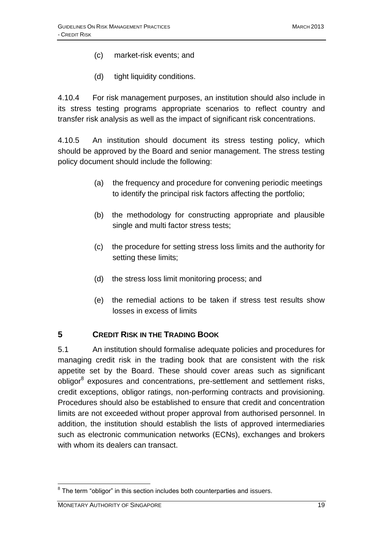- (c) market-risk events; and
- (d) tight liquidity conditions.

4.10.4 For risk management purposes, an institution should also include in its stress testing programs appropriate scenarios to reflect country and transfer risk analysis as well as the impact of significant risk concentrations.

4.10.5 An institution should document its stress testing policy, which should be approved by the Board and senior management. The stress testing policy document should include the following:

- (a) the frequency and procedure for convening periodic meetings to identify the principal risk factors affecting the portfolio;
- (b) the methodology for constructing appropriate and plausible single and multi factor stress tests;
- (c) the procedure for setting stress loss limits and the authority for setting these limits;
- (d) the stress loss limit monitoring process; and
- (e) the remedial actions to be taken if stress test results show losses in excess of limits

#### <span id="page-20-0"></span>**5 CREDIT RISK IN THE TRADING BOOK**

5.1 An institution should formalise adequate policies and procedures for managing credit risk in the trading book that are consistent with the risk appetite set by the Board. These should cover areas such as significant obligor<sup>8</sup> exposures and concentrations, pre-settlement and settlement risks, credit exceptions, obligor ratings, non-performing contracts and provisioning. Procedures should also be established to ensure that credit and concentration limits are not exceeded without proper approval from authorised personnel. In addition, the institution should establish the lists of approved intermediaries such as electronic communication networks (ECNs), exchanges and brokers with whom its dealers can transact.

1

 $8$  The term "obligor" in this section includes both counterparties and issuers.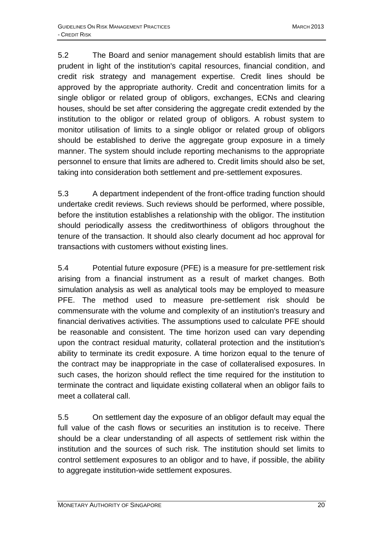5.2 The Board and senior management should establish limits that are prudent in light of the institution's capital resources, financial condition, and credit risk strategy and management expertise. Credit lines should be approved by the appropriate authority. Credit and concentration limits for a single obligor or related group of obligors, exchanges, ECNs and clearing houses, should be set after considering the aggregate credit extended by the institution to the obligor or related group of obligors. A robust system to monitor utilisation of limits to a single obligor or related group of obligors should be established to derive the aggregate group exposure in a timely manner. The system should include reporting mechanisms to the appropriate personnel to ensure that limits are adhered to. Credit limits should also be set, taking into consideration both settlement and pre-settlement exposures.

5.3 A department independent of the front-office trading function should undertake credit reviews. Such reviews should be performed, where possible, before the institution establishes a relationship with the obligor. The institution should periodically assess the creditworthiness of obligors throughout the tenure of the transaction. It should also clearly document ad hoc approval for transactions with customers without existing lines.

5.4 Potential future exposure (PFE) is a measure for pre-settlement risk arising from a financial instrument as a result of market changes. Both simulation analysis as well as analytical tools may be employed to measure PFE. The method used to measure pre-settlement risk should be commensurate with the volume and complexity of an institution's treasury and financial derivatives activities. The assumptions used to calculate PFE should be reasonable and consistent. The time horizon used can vary depending upon the contract residual maturity, collateral protection and the institution's ability to terminate its credit exposure. A time horizon equal to the tenure of the contract may be inappropriate in the case of collateralised exposures. In such cases, the horizon should reflect the time required for the institution to terminate the contract and liquidate existing collateral when an obligor fails to meet a collateral call.

5.5 On settlement day the exposure of an obligor default may equal the full value of the cash flows or securities an institution is to receive. There should be a clear understanding of all aspects of settlement risk within the institution and the sources of such risk. The institution should set limits to control settlement exposures to an obligor and to have, if possible, the ability to aggregate institution-wide settlement exposures.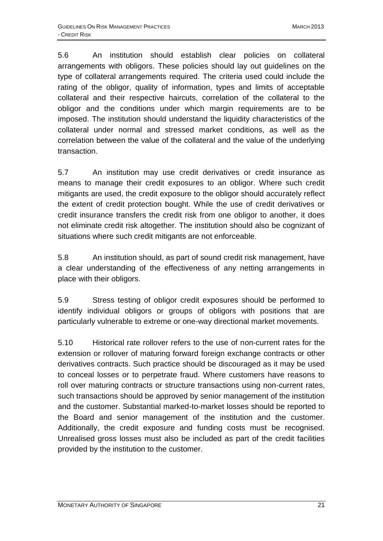5.6 An institution should establish clear policies on collateral arrangements with obligors. These policies should lay out guidelines on the type of collateral arrangements required. The criteria used could include the rating of the obligor, quality of information, types and limits of acceptable collateral and their respective haircuts, correlation of the collateral to the obligor and the conditions under which margin requirements are to be imposed. The institution should understand the liquidity characteristics of the collateral under normal and stressed market conditions, as well as the correlation between the value of the collateral and the value of the underlying transaction.

5.7 An institution may use credit derivatives or credit insurance as means to manage their credit exposures to an obligor. Where such credit mitigants are used, the credit exposure to the obligor should accurately reflect the extent of credit protection bought. While the use of credit derivatives or credit insurance transfers the credit risk from one obligor to another, it does not eliminate credit risk altogether. The institution should also be cognizant of situations where such credit mitigants are not enforceable.

5.8 An institution should, as part of sound credit risk management, have a clear understanding of the effectiveness of any netting arrangements in place with their obligors.

5.9 Stress testing of obligor credit exposures should be performed to identify individual obligors or groups of obligors with positions that are particularly vulnerable to extreme or one-way directional market movements.

5.10 Historical rate rollover refers to the use of non-current rates for the extension or rollover of maturing forward foreign exchange contracts or other derivatives contracts. Such practice should be discouraged as it may be used to conceal losses or to perpetrate fraud. Where customers have reasons to roll over maturing contracts or structure transactions using non-current rates, such transactions should be approved by senior management of the institution and the customer. Substantial marked-to-market losses should be reported to the Board and senior management of the institution and the customer. Additionally, the credit exposure and funding costs must be recognised. Unrealised gross losses must also be included as part of the credit facilities provided by the institution to the customer.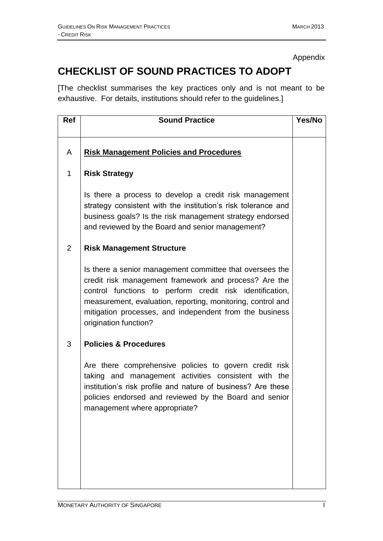Appendix

# <span id="page-23-0"></span>**CHECKLIST OF SOUND PRACTICES TO ADOPT**

[The checklist summarises the key practices only and is not meant to be exhaustive. For details, institutions should refer to the guidelines.]

| Ref            | <b>Sound Practice</b>                                                                                                                                                                                                                                                                                                            | Yes/No |
|----------------|----------------------------------------------------------------------------------------------------------------------------------------------------------------------------------------------------------------------------------------------------------------------------------------------------------------------------------|--------|
|                |                                                                                                                                                                                                                                                                                                                                  |        |
| A              | <b>Risk Management Policies and Procedures</b>                                                                                                                                                                                                                                                                                   |        |
| $\mathbf{1}$   | <b>Risk Strategy</b>                                                                                                                                                                                                                                                                                                             |        |
|                | Is there a process to develop a credit risk management<br>strategy consistent with the institution's risk tolerance and<br>business goals? Is the risk management strategy endorsed<br>and reviewed by the Board and senior management?                                                                                          |        |
| $\overline{2}$ | <b>Risk Management Structure</b>                                                                                                                                                                                                                                                                                                 |        |
|                | Is there a senior management committee that oversees the<br>credit risk management framework and process? Are the<br>control functions to perform credit risk identification,<br>measurement, evaluation, reporting, monitoring, control and<br>mitigation processes, and independent from the business<br>origination function? |        |
| 3              | <b>Policies &amp; Procedures</b>                                                                                                                                                                                                                                                                                                 |        |
|                | Are there comprehensive policies to govern credit risk<br>taking and management activities consistent with the<br>institution's risk profile and nature of business? Are these<br>policies endorsed and reviewed by the Board and senior<br>management where appropriate?                                                        |        |
|                |                                                                                                                                                                                                                                                                                                                                  |        |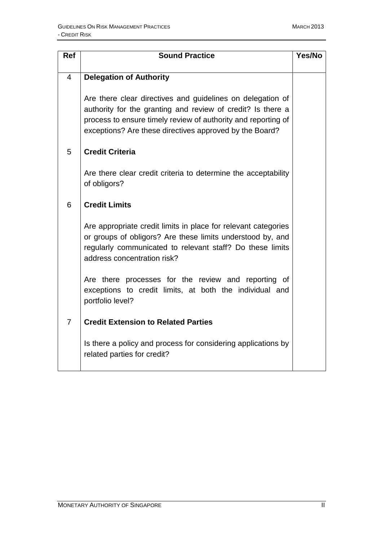| <b>Ref</b>     | <b>Sound Practice</b>                                                                                                                                                                                                                                 | Yes/No |
|----------------|-------------------------------------------------------------------------------------------------------------------------------------------------------------------------------------------------------------------------------------------------------|--------|
| $\overline{4}$ | <b>Delegation of Authority</b>                                                                                                                                                                                                                        |        |
|                | Are there clear directives and guidelines on delegation of<br>authority for the granting and review of credit? Is there a<br>process to ensure timely review of authority and reporting of<br>exceptions? Are these directives approved by the Board? |        |
| 5              | <b>Credit Criteria</b>                                                                                                                                                                                                                                |        |
|                | Are there clear credit criteria to determine the acceptability<br>of obligors?                                                                                                                                                                        |        |
| 6              | <b>Credit Limits</b>                                                                                                                                                                                                                                  |        |
|                | Are appropriate credit limits in place for relevant categories<br>or groups of obligors? Are these limits understood by, and<br>regularly communicated to relevant staff? Do these limits<br>address concentration risk?                              |        |
|                | Are there processes for the review and reporting of<br>exceptions to credit limits, at both the individual and<br>portfolio level?                                                                                                                    |        |
| $\overline{7}$ | <b>Credit Extension to Related Parties</b>                                                                                                                                                                                                            |        |
|                | Is there a policy and process for considering applications by<br>related parties for credit?                                                                                                                                                          |        |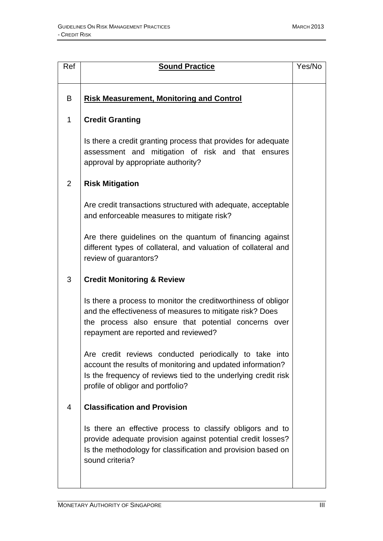| Ref            | <b>Sound Practice</b>                                                                                                                                                                                                       | Yes/No |
|----------------|-----------------------------------------------------------------------------------------------------------------------------------------------------------------------------------------------------------------------------|--------|
| B              | <b>Risk Measurement, Monitoring and Control</b>                                                                                                                                                                             |        |
| 1              | <b>Credit Granting</b>                                                                                                                                                                                                      |        |
|                | Is there a credit granting process that provides for adequate<br>assessment and mitigation of risk and that ensures<br>approval by appropriate authority?                                                                   |        |
| 2              | <b>Risk Mitigation</b>                                                                                                                                                                                                      |        |
|                | Are credit transactions structured with adequate, acceptable<br>and enforceable measures to mitigate risk?                                                                                                                  |        |
|                | Are there guidelines on the quantum of financing against<br>different types of collateral, and valuation of collateral and<br>review of guarantors?                                                                         |        |
| 3              | <b>Credit Monitoring &amp; Review</b>                                                                                                                                                                                       |        |
|                | Is there a process to monitor the creditworthiness of obligor<br>and the effectiveness of measures to mitigate risk? Does<br>the process also ensure that potential concerns over<br>repayment are reported and reviewed?   |        |
|                | Are credit reviews conducted periodically to take into<br>account the results of monitoring and updated information?<br>Is the frequency of reviews tied to the underlying credit risk<br>profile of obligor and portfolio? |        |
| $\overline{4}$ | <b>Classification and Provision</b>                                                                                                                                                                                         |        |
|                | Is there an effective process to classify obligors and to<br>provide adequate provision against potential credit losses?<br>Is the methodology for classification and provision based on<br>sound criteria?                 |        |
|                |                                                                                                                                                                                                                             |        |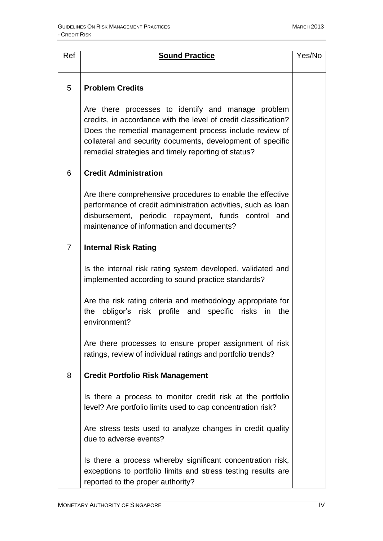| Ref | <b>Sound Practice</b>                                                                                                                                                                                                                                                                                | Yes/No |
|-----|------------------------------------------------------------------------------------------------------------------------------------------------------------------------------------------------------------------------------------------------------------------------------------------------------|--------|
|     |                                                                                                                                                                                                                                                                                                      |        |
| 5   | <b>Problem Credits</b>                                                                                                                                                                                                                                                                               |        |
|     | Are there processes to identify and manage problem<br>credits, in accordance with the level of credit classification?<br>Does the remedial management process include review of<br>collateral and security documents, development of specific<br>remedial strategies and timely reporting of status? |        |
| 6   | <b>Credit Administration</b>                                                                                                                                                                                                                                                                         |        |
|     | Are there comprehensive procedures to enable the effective<br>performance of credit administration activities, such as loan<br>disbursement, periodic repayment, funds control and<br>maintenance of information and documents?                                                                      |        |
| 7   | <b>Internal Risk Rating</b>                                                                                                                                                                                                                                                                          |        |
|     | Is the internal risk rating system developed, validated and<br>implemented according to sound practice standards?                                                                                                                                                                                    |        |
|     | Are the risk rating criteria and methodology appropriate for<br>the obligor's risk profile and specific risks in the<br>environment?                                                                                                                                                                 |        |
|     | Are there processes to ensure proper assignment of risk<br>ratings, review of individual ratings and portfolio trends?                                                                                                                                                                               |        |
| 8   | <b>Credit Portfolio Risk Management</b>                                                                                                                                                                                                                                                              |        |
|     | Is there a process to monitor credit risk at the portfolio<br>level? Are portfolio limits used to cap concentration risk?                                                                                                                                                                            |        |
|     | Are stress tests used to analyze changes in credit quality<br>due to adverse events?                                                                                                                                                                                                                 |        |
|     | Is there a process whereby significant concentration risk,<br>exceptions to portfolio limits and stress testing results are<br>reported to the proper authority?                                                                                                                                     |        |